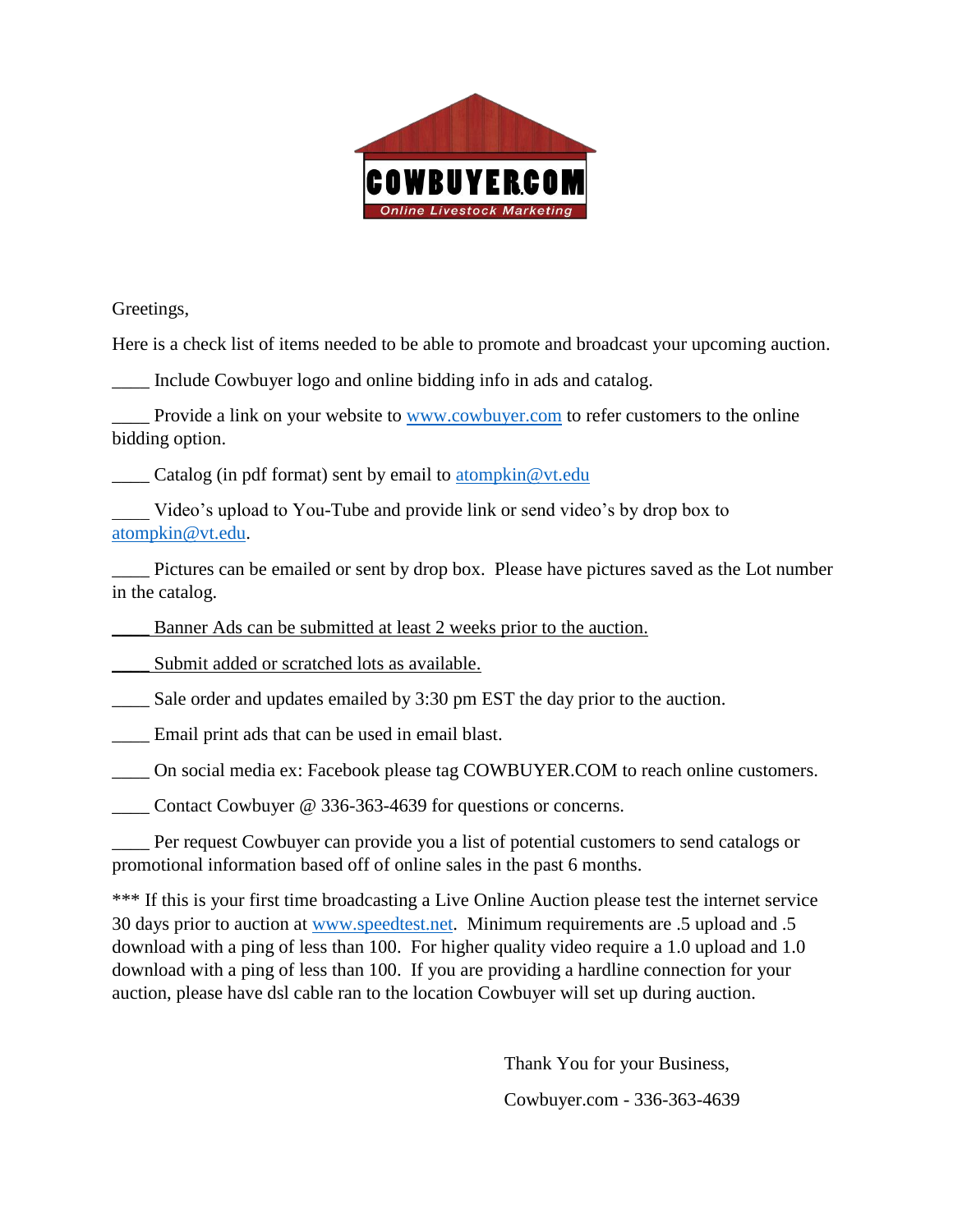

Greetings,

Here is a check list of items needed to be able to promote and broadcast your upcoming auction.

Include Cowbuyer logo and online bidding info in ads and catalog.

Provide a link on your website to [www.cowbuyer.com](http://www.cowbuyer.com/) to refer customers to the online bidding option.

 $\frac{1}{\sqrt{1-\frac{1}{\sqrt{1-\frac{1}{\sqrt{1-\frac{1}{\sqrt{1-\frac{1}{\sqrt{1-\frac{1}{\sqrt{1-\frac{1}{\sqrt{1-\frac{1}{\sqrt{1-\frac{1}{\sqrt{1-\frac{1}{\sqrt{1-\frac{1}{\sqrt{1-\frac{1}{\sqrt{1-\frac{1}{\sqrt{1-\frac{1}{\sqrt{1-\frac{1}{\sqrt{1-\frac{1}{\sqrt{1-\frac{1}{\sqrt{1-\frac{1}{\sqrt{1-\frac{1}{\sqrt{1-\frac{1}{\sqrt{1-\frac{1}{\sqrt{1-\frac{1}{\sqrt{1-\frac{1}{\sqrt{1-\frac{1}{\sqrt{1-\frac{1$ 

Video's upload to You-Tube and provide link or send video's by drop box to [atompkin@vt.edu.](mailto:atompkin@vt.edu)

\_\_\_\_ Pictures can be emailed or sent by drop box. Please have pictures saved as the Lot number in the catalog.

Banner Ads can be submitted at least 2 weeks prior to the auction.

Submit added or scratched lots as available.

Sale order and updates emailed by 3:30 pm EST the day prior to the auction.

\_\_\_\_ Email print ads that can be used in email blast.

\_\_\_\_ On social media ex: Facebook please tag COWBUYER.COM to reach online customers.

Contact Cowbuyer @ 336-363-4639 for questions or concerns.

\_\_\_\_ Per request Cowbuyer can provide you a list of potential customers to send catalogs or promotional information based off of online sales in the past 6 months.

\*\*\* If this is your first time broadcasting a Live Online Auction please test the internet service 30 days prior to auction at [www.speedtest.net.](http://www.speedtest.net/) Minimum requirements are .5 upload and .5 download with a ping of less than 100. For higher quality video require a 1.0 upload and 1.0 download with a ping of less than 100. If you are providing a hardline connection for your auction, please have dsl cable ran to the location Cowbuyer will set up during auction.

> Thank You for your Business, Cowbuyer.com - 336-363-4639